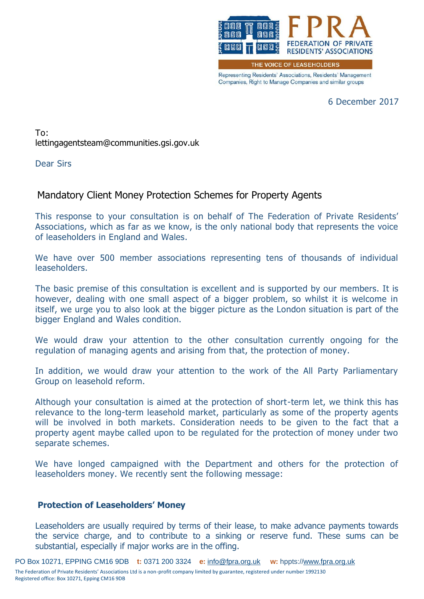

Representing Residents' Associations, Residents' Management Companies, Right to Manage Companies and similar groups

6 December 2017

To: lettingagentsteam@communities.gsi.gov.uk

Dear Sirs

## Mandatory Client Money Protection Schemes for Property Agents

This response to your consultation is on behalf of The Federation of Private Residents' Associations, which as far as we know, is the only national body that represents the voice of leaseholders in England and Wales.

We have over 500 member associations representing tens of thousands of individual leaseholders.

The basic premise of this consultation is excellent and is supported by our members. It is however, dealing with one small aspect of a bigger problem, so whilst it is welcome in itself, we urge you to also look at the bigger picture as the London situation is part of the bigger England and Wales condition.

We would draw your attention to the other consultation currently ongoing for the regulation of managing agents and arising from that, the protection of money.

In addition, we would draw your attention to the work of the All Party Parliamentary Group on leasehold reform.

Although your consultation is aimed at the protection of short-term let, we think this has relevance to the long-term leasehold market, particularly as some of the property agents will be involved in both markets. Consideration needs to be given to the fact that a property agent maybe called upon to be regulated for the protection of money under two separate schemes.

We have longed campaigned with the Department and others for the protection of leaseholders money. We recently sent the following message:

## **Protection of Leaseholders' Money**

Leaseholders are usually required by terms of their lease, to make advance payments towards the service charge, and to contribute to a sinking or reserve fund. These sums can be substantial, especially if major works are in the offing.

PO Box 10271, EPPING CM16 9DB **t:** 0371 200 3324 **e:** [info@fpra.org.uk](mailto:info@fpra.org.uk) **w:** hppts:/[/www.fpra.org.uk](http://www.fpra.org.uk/) The Federation of Private Residents' Associations Ltd is a non-profit company limited by guarantee, registered under number 1992130 Registered office: Box 10271, Epping CM16 9DB